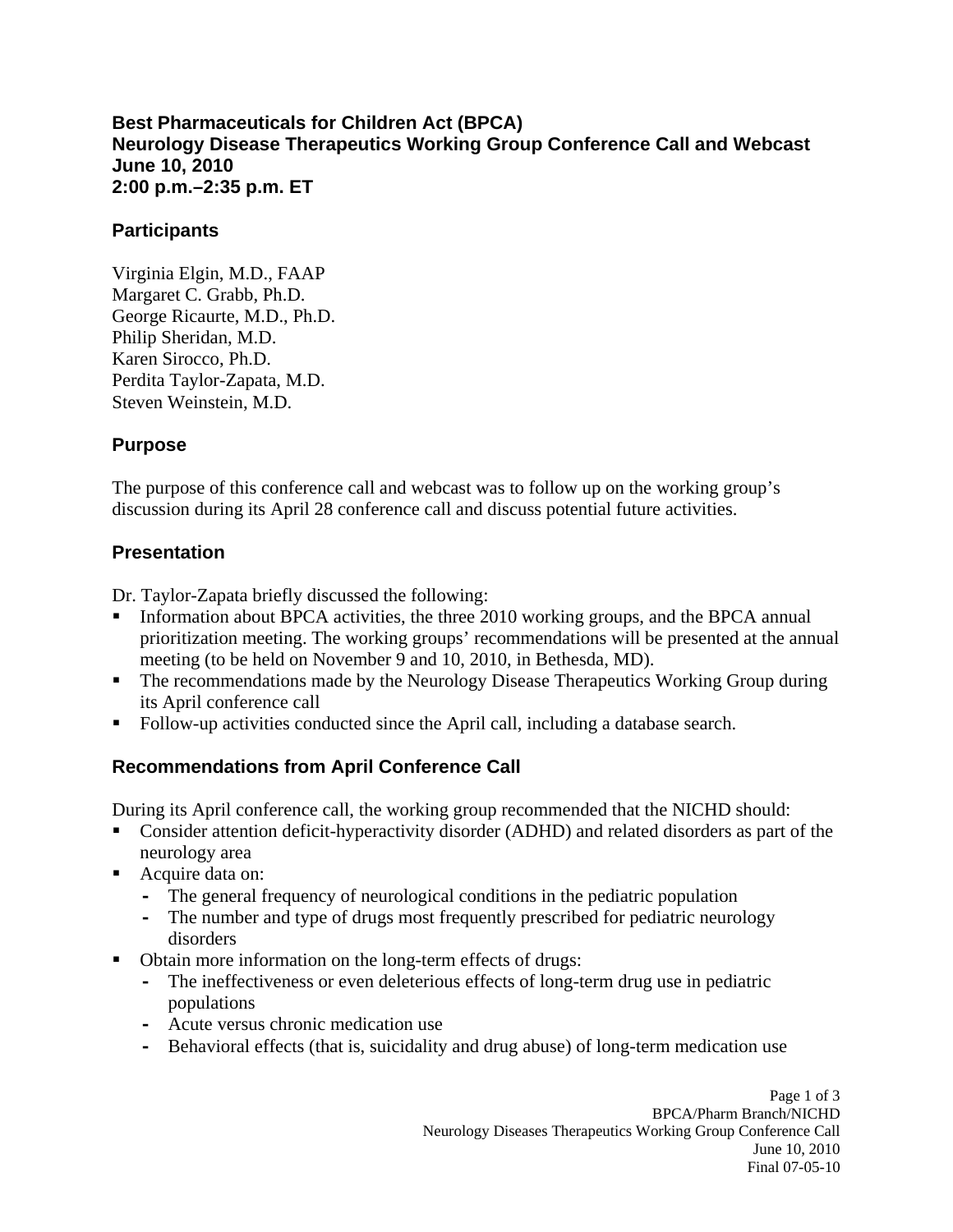#### **Best Pharmaceuticals for Children Act (BPCA) Neurology Disease Therapeutics Working Group Conference Call and Webcast June 10, 2010 2:00 p.m.–2:35 p.m. ET**

#### **Participants**

Virginia Elgin, M.D., FAAP Margaret C. Grabb, Ph.D. George Ricaurte, M.D., Ph.D. Philip Sheridan, M.D. Karen Sirocco, Ph.D. Perdita Taylor-Zapata, M.D. Steven Weinstein, M.D.

## **Purpose**

The purpose of this conference call and webcast was to follow up on the working group's discussion during its April 28 conference call and discuss potential future activities.

## **Presentation**

Dr. Taylor-Zapata briefly discussed the following:

- Information about BPCA activities, the three 2010 working groups, and the BPCA annual prioritization meeting. The working groups' recommendations will be presented at the annual meeting (to be held on November 9 and 10, 2010, in Bethesda, MD).
- **The recommendations made by the Neurology Disease Therapeutics Working Group during** its April conference call
- Follow-up activities conducted since the April call, including a database search.

## **Recommendations from April Conference Call**

During its April conference call, the working group recommended that the NICHD should:

- **Consider attention deficit-hyperactivity disorder (ADHD) and related disorders as part of the** neurology area
- Acquire data on:
	- **-** The general frequency of neurological conditions in the pediatric population
	- **-** The number and type of drugs most frequently prescribed for pediatric neurology disorders
- Obtain more information on the long-term effects of drugs:
	- **-** The ineffectiveness or even deleterious effects of long-term drug use in pediatric populations
	- **-** Acute versus chronic medication use
	- **-** Behavioral effects (that is, suicidality and drug abuse) of long-term medication use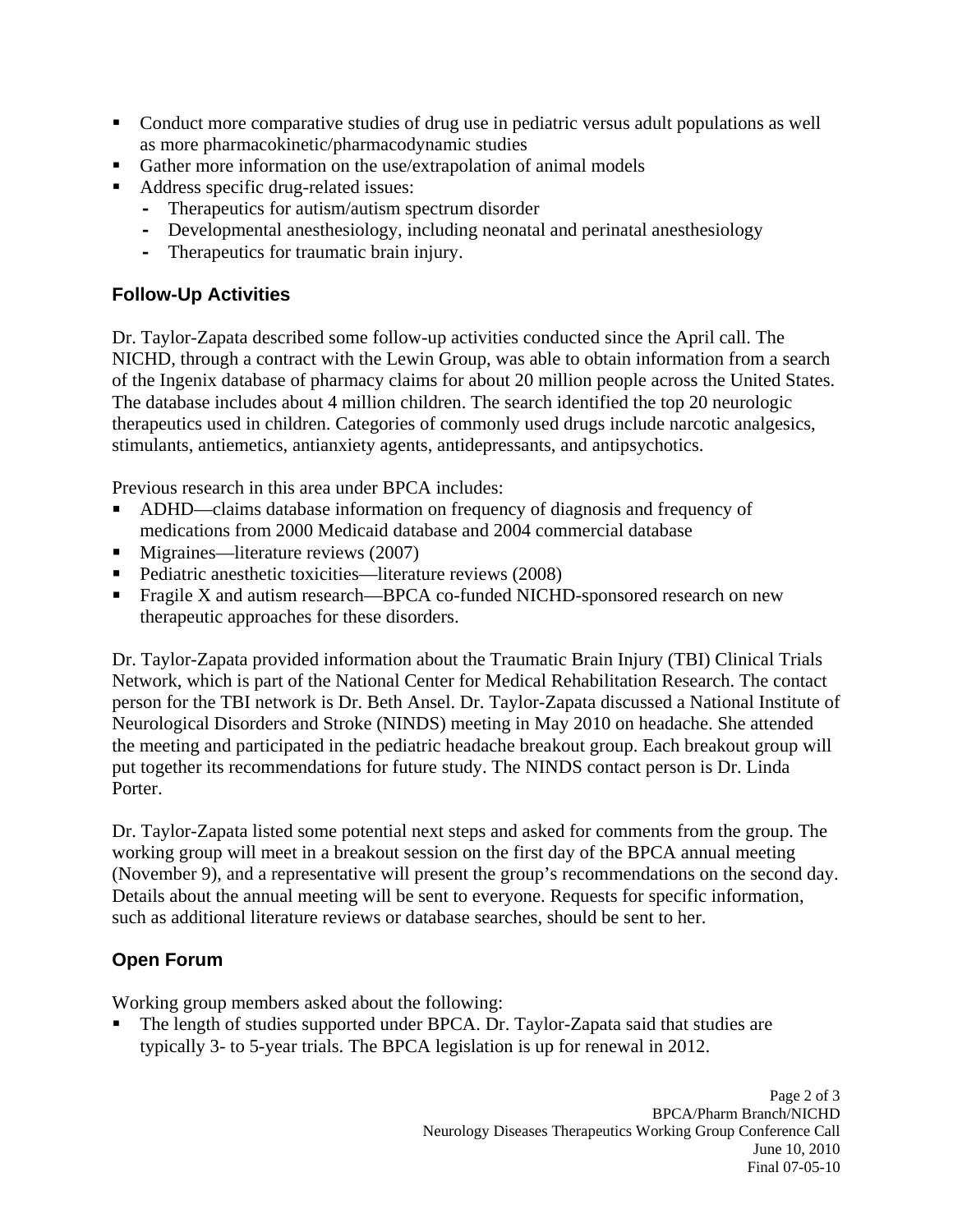- **Conduct more comparative studies of drug use in pediatric versus adult populations as well** as more pharmacokinetic/pharmacodynamic studies
- Gather more information on the use/extrapolation of animal models
- Address specific drug-related issues:
	- **-** Therapeutics for autism/autism spectrum disorder
	- **-** Developmental anesthesiology, including neonatal and perinatal anesthesiology
	- **-** Therapeutics for traumatic brain injury.

## **Follow-Up Activities**

Dr. Taylor-Zapata described some follow-up activities conducted since the April call. The NICHD, through a contract with the Lewin Group, was able to obtain information from a search of the Ingenix database of pharmacy claims for about 20 million people across the United States. The database includes about 4 million children. The search identified the top 20 neurologic therapeutics used in children. Categories of commonly used drugs include narcotic analgesics, stimulants, antiemetics, antianxiety agents, antidepressants, and antipsychotics.

Previous research in this area under BPCA includes:

- ADHD—claims database information on frequency of diagnosis and frequency of medications from 2000 Medicaid database and 2004 commercial database
- Migraines—literature reviews (2007)
- Pediatric anesthetic toxicities—literature reviews (2008)
- **Fragile X and autism research—BPCA co-funded NICHD-sponsored research on new** therapeutic approaches for these disorders.

Dr. Taylor-Zapata provided information about the Traumatic Brain Injury (TBI) Clinical Trials Network, which is part of the National Center for Medical Rehabilitation Research. The contact person for the TBI network is Dr. Beth Ansel. Dr. Taylor-Zapata discussed a National Institute of Neurological Disorders and Stroke (NINDS) meeting in May 2010 on headache. She attended the meeting and participated in the pediatric headache breakout group. Each breakout group will put together its recommendations for future study. The NINDS contact person is Dr. Linda Porter.

Dr. Taylor-Zapata listed some potential next steps and asked for comments from the group. The working group will meet in a breakout session on the first day of the BPCA annual meeting (November 9), and a representative will present the group's recommendations on the second day. Details about the annual meeting will be sent to everyone. Requests for specific information, such as additional literature reviews or database searches, should be sent to her.

# **Open Forum**

Working group members asked about the following:

 The length of studies supported under BPCA. Dr. Taylor-Zapata said that studies are typically 3- to 5-year trials. The BPCA legislation is up for renewal in 2012.